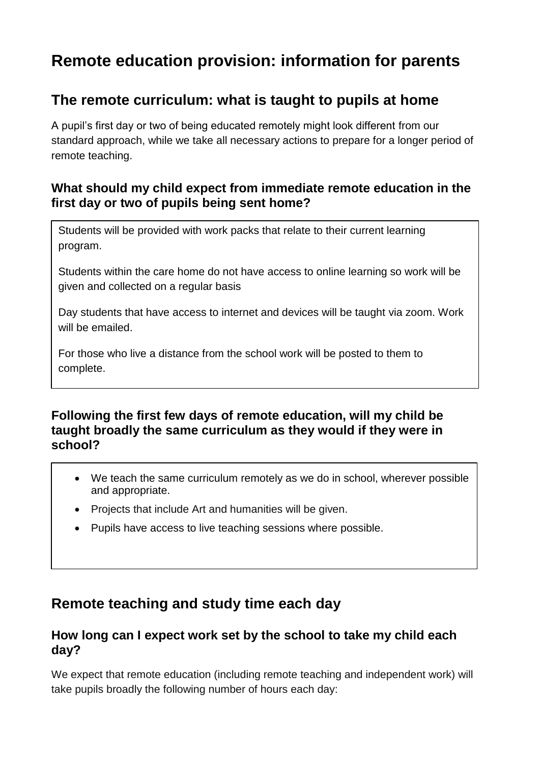# **Remote education provision: information for parents**

### **The remote curriculum: what is taught to pupils at home**

A pupil's first day or two of being educated remotely might look different from our standard approach, while we take all necessary actions to prepare for a longer period of remote teaching.

#### **What should my child expect from immediate remote education in the first day or two of pupils being sent home?**

Students will be provided with work packs that relate to their current learning program.

Students within the care home do not have access to online learning so work will be given and collected on a regular basis

Day students that have access to internet and devices will be taught via zoom. Work will be emailed.

For those who live a distance from the school work will be posted to them to complete.

#### **Following the first few days of remote education, will my child be taught broadly the same curriculum as they would if they were in school?**

- We teach the same curriculum remotely as we do in school, wherever possible and appropriate.
- Projects that include Art and humanities will be given.
- Pupils have access to live teaching sessions where possible.

## **Remote teaching and study time each day**

#### **How long can I expect work set by the school to take my child each day?**

We expect that remote education (including remote teaching and independent work) will take pupils broadly the following number of hours each day: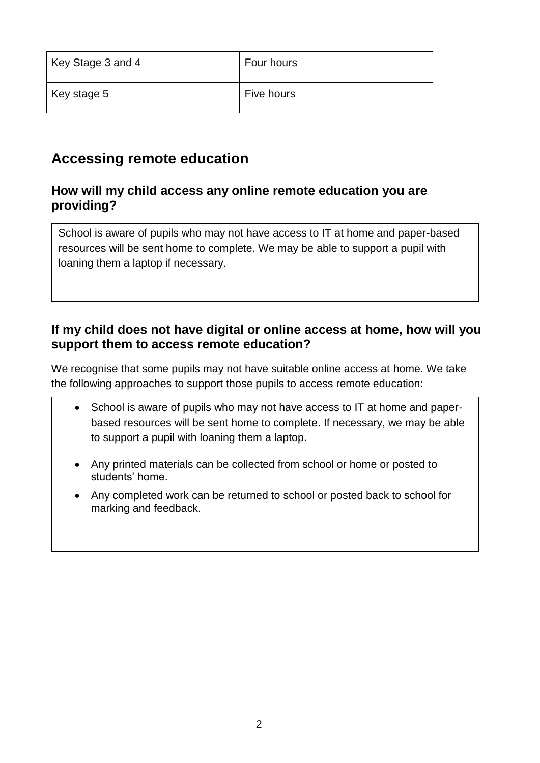| Key Stage 3 and 4 | Four hours |
|-------------------|------------|
| Key stage 5       | Five hours |

## **Accessing remote education**

#### **How will my child access any online remote education you are providing?**

School is aware of pupils who may not have access to IT at home and paper-based resources will be sent home to complete. We may be able to support a pupil with loaning them a laptop if necessary.

#### **If my child does not have digital or online access at home, how will you support them to access remote education?**

We recognise that some pupils may not have suitable online access at home. We take the following approaches to support those pupils to access remote education:

- School is aware of pupils who may not have access to IT at home and paperbased resources will be sent home to complete. If necessary, we may be able to support a pupil with loaning them a laptop.
- Any printed materials can be collected from school or home or posted to students' home.
- Any completed work can be returned to school or posted back to school for marking and feedback.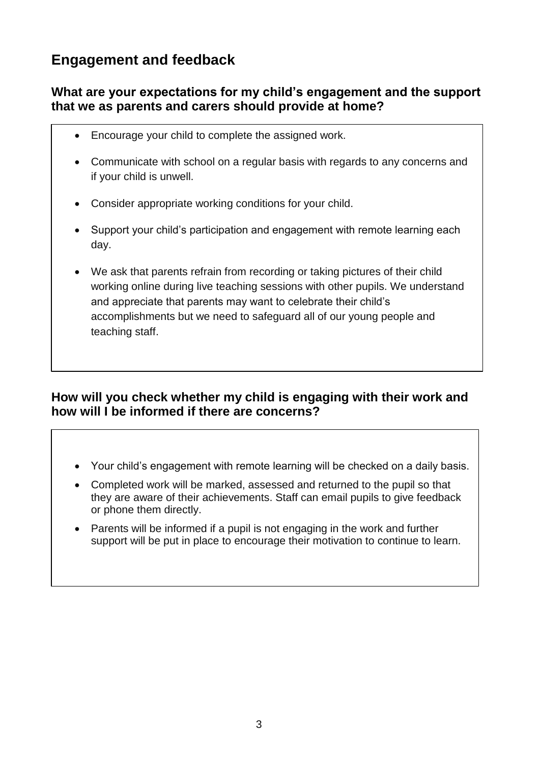## **Engagement and feedback**

#### **What are your expectations for my child's engagement and the support that we as parents and carers should provide at home?**

- Encourage your child to complete the assigned work.
- Communicate with school on a regular basis with regards to any concerns and if your child is unwell.
- Consider appropriate working conditions for your child.
- Support your child's participation and engagement with remote learning each day.
- We ask that parents refrain from recording or taking pictures of their child working online during live teaching sessions with other pupils. We understand and appreciate that parents may want to celebrate their child's accomplishments but we need to safeguard all of our young people and teaching staff.

#### **How will you check whether my child is engaging with their work and how will I be informed if there are concerns?**

- Your child's engagement with remote learning will be checked on a daily basis.
- Completed work will be marked, assessed and returned to the pupil so that they are aware of their achievements. Staff can email pupils to give feedback or phone them directly.
- Parents will be informed if a pupil is not engaging in the work and further support will be put in place to encourage their motivation to continue to learn.